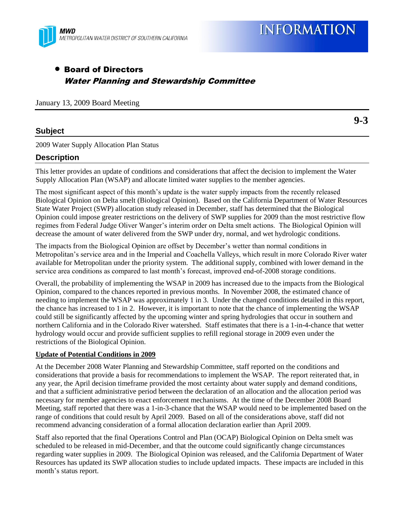

# Board of Directors Water Planning and Stewardship Committee

January 13, 2009 Board Meeting

## **Subject**

2009 Water Supply Allocation Plan Status

## **Description**

This letter provides an update of conditions and considerations that affect the decision to implement the Water Supply Allocation Plan (WSAP) and allocate limited water supplies to the member agencies.

The most significant aspect of this month's update is the water supply impacts from the recently released Biological Opinion on Delta smelt (Biological Opinion). Based on the California Department of Water Resources State Water Project (SWP) allocation study released in December, staff has determined that the Biological Opinion could impose greater restrictions on the delivery of SWP supplies for 2009 than the most restrictive flow regimes from Federal Judge Oliver Wanger's interim order on Delta smelt actions. The Biological Opinion will decrease the amount of water delivered from the SWP under dry, normal, and wet hydrologic conditions.

The impacts from the Biological Opinion are offset by December's wetter than normal conditions in Metropolitan's service area and in the Imperial and Coachella Valleys, which result in more Colorado River water available for Metropolitan under the priority system. The additional supply, combined with lower demand in the service area conditions as compared to last month's forecast, improved end-of-2008 storage conditions.

Overall, the probability of implementing the WSAP in 2009 has increased due to the impacts from the Biological Opinion, compared to the chances reported in previous months. In November 2008, the estimated chance of needing to implement the WSAP was approximately 1 in 3. Under the changed conditions detailed in this report, the chance has increased to 1 in 2. However, it is important to note that the chance of implementing the WSAP could still be significantly affected by the upcoming winter and spring hydrologies that occur in southern and northern California and in the Colorado River watershed. Staff estimates that there is a 1-in-4-chance that wetter hydrology would occur and provide sufficient supplies to refill regional storage in 2009 even under the restrictions of the Biological Opinion.

#### **Update of Potential Conditions in 2009**

At the December 2008 Water Planning and Stewardship Committee, staff reported on the conditions and considerations that provide a basis for recommendations to implement the WSAP. The report reiterated that, in any year, the April decision timeframe provided the most certainty about water supply and demand conditions, and that a sufficient administrative period between the declaration of an allocation and the allocation period was necessary for member agencies to enact enforcement mechanisms. At the time of the December 2008 Board Meeting, staff reported that there was a 1-in-3-chance that the WSAP would need to be implemented based on the range of conditions that could result by April 2009. Based on all of the considerations above, staff did not recommend advancing consideration of a formal allocation declaration earlier than April 2009.

Staff also reported that the final Operations Control and Plan (OCAP) Biological Opinion on Delta smelt was scheduled to be released in mid-December, and that the outcome could significantly change circumstances regarding water supplies in 2009. The Biological Opinion was released, and the California Department of Water Resources has updated its SWP allocation studies to include updated impacts. These impacts are included in this month's status report.

**9-3**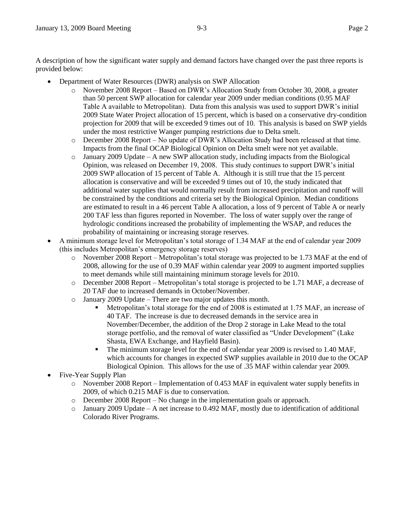A description of how the significant water supply and demand factors have changed over the past three reports is provided below:

- Department of Water Resources (DWR) analysis on SWP Allocation
	- o November 2008 Report Based on DWR's Allocation Study from October 30, 2008, a greater than 50 percent SWP allocation for calendar year 2009 under median conditions (0.95 MAF Table A available to Metropolitan). Data from this analysis was used to support DWR's initial 2009 State Water Project allocation of 15 percent, which is based on a conservative dry-condition projection for 2009 that will be exceeded 9 times out of 10. This analysis is based on SWP yields under the most restrictive Wanger pumping restrictions due to Delta smelt.
	- o December 2008 Report No update of DWR's Allocation Study had been released at that time. Impacts from the final OCAP Biological Opinion on Delta smelt were not yet available.
	- $\circ$  January 2009 Update A new SWP allocation study, including impacts from the Biological Opinion, was released on December 19, 2008. This study continues to support DWR's initial 2009 SWP allocation of 15 percent of Table A. Although it is still true that the 15 percent allocation is conservative and will be exceeded 9 times out of 10, the study indicated that additional water supplies that would normally result from increased precipitation and runoff will be constrained by the conditions and criteria set by the Biological Opinion. Median conditions are estimated to result in a 46 percent Table A allocation, a loss of 9 percent of Table A or nearly 200 TAF less than figures reported in November. The loss of water supply over the range of hydrologic conditions increased the probability of implementing the WSAP, and reduces the probability of maintaining or increasing storage reserves.
- A minimum storage level for Metropolitan's total storage of 1.34 MAF at the end of calendar year 2009 (this includes Metropolitan's emergency storage reserves)
	- o November 2008 Report Metropolitan's total storage was projected to be 1.73 MAF at the end of 2008, allowing for the use of 0.39 MAF within calendar year 2009 to augment imported supplies to meet demands while still maintaining minimum storage levels for 2010.
	- o December 2008 Report Metropolitan's total storage is projected to be 1.71 MAF, a decrease of 20 TAF due to increased demands in October/November.
	- o January 2009 Update There are two major updates this month.
		- Metropolitan's total storage for the end of 2008 is estimated at 1.75 MAF, an increase of 40 TAF. The increase is due to decreased demands in the service area in November/December, the addition of the Drop 2 storage in Lake Mead to the total storage portfolio, and the removal of water classified as "Under Development" (Lake Shasta, EWA Exchange, and Hayfield Basin).
		- The minimum storage level for the end of calendar year 2009 is revised to 1.40 MAF, which accounts for changes in expected SWP supplies available in 2010 due to the OCAP Biological Opinion. This allows for the use of .35 MAF within calendar year 2009.
- Five-Year Supply Plan
	- o November 2008 Report Implementation of 0.453 MAF in equivalent water supply benefits in 2009, of which 0.215 MAF is due to conservation.
	- $\circ$  December 2008 Report No change in the implementation goals or approach.
	- $\circ$  January 2009 Update A net increase to 0.492 MAF, mostly due to identification of additional Colorado River Programs.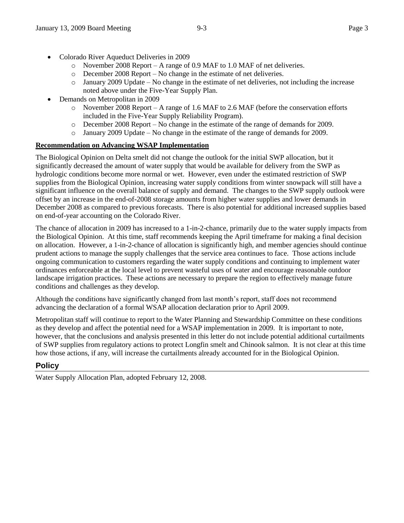- Colorado River Aqueduct Deliveries in 2009
	- o November 2008 Report A range of 0.9 MAF to 1.0 MAF of net deliveries.
	- o December 2008 Report No change in the estimate of net deliveries.
	- $\circ$  January 2009 Update No change in the estimate of net deliveries, not including the increase noted above under the Five-Year Supply Plan.
- Demands on Metropolitan in 2009
	- o November 2008 Report A range of 1.6 MAF to 2.6 MAF (before the conservation efforts included in the Five-Year Supply Reliability Program).
	- o December 2008 Report No change in the estimate of the range of demands for 2009.
	- o January 2009 Update No change in the estimate of the range of demands for 2009.

## **Recommendation on Advancing WSAP Implementation**

The Biological Opinion on Delta smelt did not change the outlook for the initial SWP allocation, but it significantly decreased the amount of water supply that would be available for delivery from the SWP as hydrologic conditions become more normal or wet. However, even under the estimated restriction of SWP supplies from the Biological Opinion, increasing water supply conditions from winter snowpack will still have a significant influence on the overall balance of supply and demand. The changes to the SWP supply outlook were offset by an increase in the end-of-2008 storage amounts from higher water supplies and lower demands in December 2008 as compared to previous forecasts. There is also potential for additional increased supplies based on end-of-year accounting on the Colorado River.

The chance of allocation in 2009 has increased to a 1-in-2-chance, primarily due to the water supply impacts from the Biological Opinion. At this time, staff recommends keeping the April timeframe for making a final decision on allocation. However, a 1-in-2-chance of allocation is significantly high, and member agencies should continue prudent actions to manage the supply challenges that the service area continues to face. Those actions include ongoing communication to customers regarding the water supply conditions and continuing to implement water ordinances enforceable at the local level to prevent wasteful uses of water and encourage reasonable outdoor landscape irrigation practices. These actions are necessary to prepare the region to effectively manage future conditions and challenges as they develop.

Although the conditions have significantly changed from last month's report, staff does not recommend advancing the declaration of a formal WSAP allocation declaration prior to April 2009.

Metropolitan staff will continue to report to the Water Planning and Stewardship Committee on these conditions as they develop and affect the potential need for a WSAP implementation in 2009. It is important to note, however, that the conclusions and analysis presented in this letter do not include potential additional curtailments of SWP supplies from regulatory actions to protect Longfin smelt and Chinook salmon. It is not clear at this time how those actions, if any, will increase the curtailments already accounted for in the Biological Opinion.

# **Policy**

Water Supply Allocation Plan, adopted February 12, 2008.